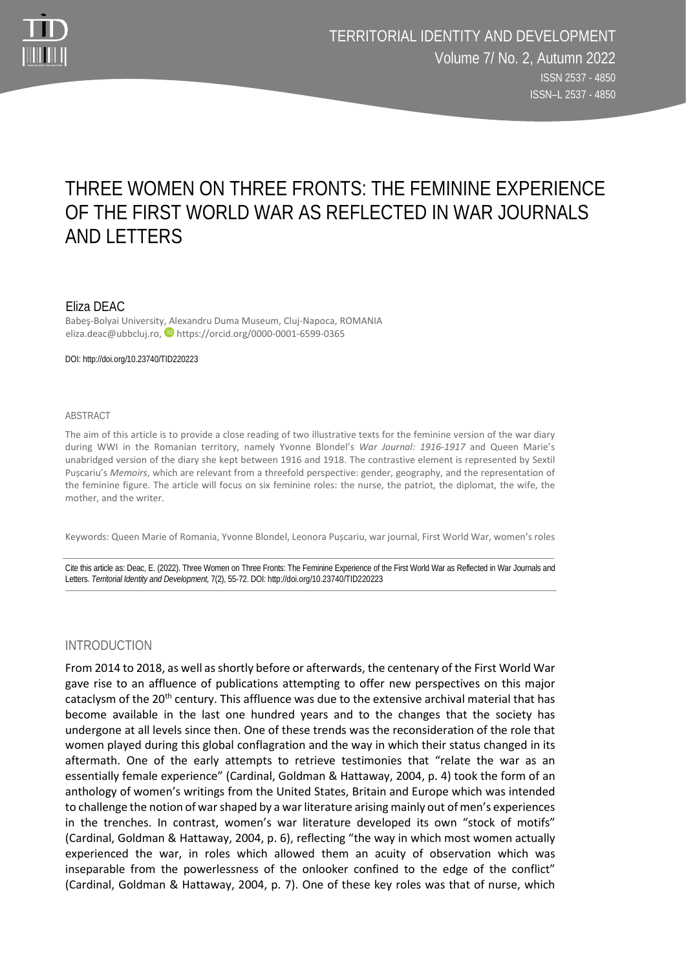

# THREE WOMEN ON THREE FRONTS: THE FEMININE EXPERIENCE OF THE FIRST WORLD WAR AS REFLECTED IN WAR JOURNALS AND LETTERS

## Eliza DEAC

Babeş-Bolyai University, Alexandru Duma Museum, Cluj-Napoca, ROMANIA eliza.deac@ubbcluj.ro, Dhttps://orcid.org/0000-0001-6599-0365

DOI: http://doi.org/10.23740/TID220223

#### ABSTRACT

The aim of this article is to provide a close reading of two illustrative texts for the feminine version of the war diary during WWI in the Romanian territory, namely Yvonne Blondel's *War Journal: 1916-1917* and Queen Marie's unabridged version of the diary she kept between 1916 and 1918. The contrastive element is represented by Sextil Pușcariu's *Memoirs*, which are relevant from a threefold perspective: gender, geography, and the representation of the feminine figure. The article will focus on six feminine roles: the nurse, the patriot, the diplomat, the wife, the mother, and the writer.

Keywords: Queen Marie of Romania, Yvonne Blondel, Leonora Pușcariu, war journal, First World War, women's roles

Cite this article as: Deac, E. (2022). Three Women on Three Fronts: The Feminine Experience of the First World War as Reflected in War Journals and Letters. *Territorial Identity and Development,* 7(2), 55-72. DOI: http://doi.org/10.23740/TID220223

## INTRODUCTION

From 2014 to 2018, as well as shortly before or afterwards, the centenary of the First World War gave rise to an affluence of publications attempting to offer new perspectives on this major cataclysm of the  $20<sup>th</sup>$  century. This affluence was due to the extensive archival material that has become available in the last one hundred years and to the changes that the society has undergone at all levels since then. One of these trends was the reconsideration of the role that women played during this global conflagration and the way in which their status changed in its aftermath. One of the early attempts to retrieve testimonies that "relate the war as an essentially female experience" (Cardinal, Goldman & Hattaway, 2004, p. 4) took the form of an anthology of women's writings from the United States, Britain and Europe which was intended to challenge the notion of war shaped by a war literature arising mainly out of men's experiences in the trenches. In contrast, women's war literature developed its own "stock of motifs" (Cardinal, Goldman & Hattaway, 2004, p. 6), reflecting "the way in which most women actually experienced the war, in roles which allowed them an acuity of observation which was inseparable from the powerlessness of the onlooker confined to the edge of the conflict" (Cardinal, Goldman & Hattaway, 2004, p. 7). One of these key roles was that of nurse, which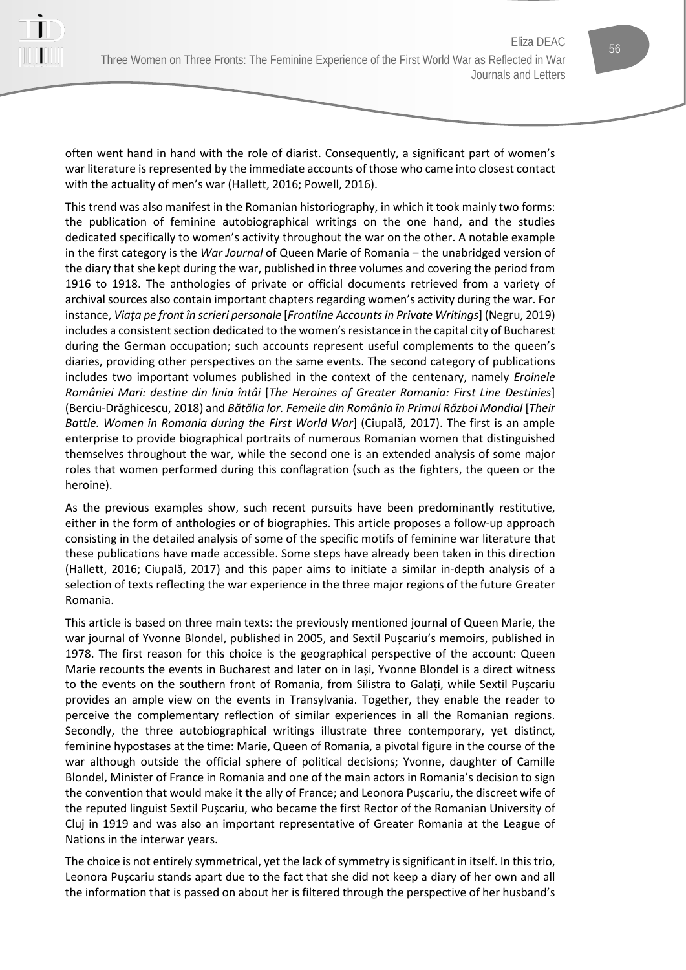often went hand in hand with the role of diarist. Consequently, a significant part of women's war literature is represented by the immediate accounts of those who came into closest contact with the actuality of men's war (Hallett, 2016; Powell, 2016).

This trend was also manifest in the Romanian historiography, in which it took mainly two forms: the publication of feminine autobiographical writings on the one hand, and the studies dedicated specifically to women's activity throughout the war on the other. A notable example in the first category is the *War Journal* of Queen Marie of Romania – the unabridged version of the diary that she kept during the war, published in three volumes and covering the period from 1916 to 1918. The anthologies of private or official documents retrieved from a variety of archival sources also contain important chapters regarding women's activity during the war. For instance, *Viața pe front în scrieri personale* [*Frontline Accounts in Private Writings*] (Negru, 2019) includes a consistent section dedicated to the women's resistance in the capital city of Bucharest during the German occupation; such accounts represent useful complements to the queen's diaries, providing other perspectives on the same events. The second category of publications includes two important volumes published in the context of the centenary, namely *Eroinele României Mari: destine din linia întâi* [*The Heroines of Greater Romania: First Line Destinies*] (Berciu-Drăghicescu, 2018) and *Bătălia lor. Femeile din România în Primul Război Mondial* [*Their Battle. Women in Romania during the First World War*] (Ciupală, 2017). The first is an ample enterprise to provide biographical portraits of numerous Romanian women that distinguished themselves throughout the war, while the second one is an extended analysis of some major roles that women performed during this conflagration (such as the fighters, the queen or the heroine).

As the previous examples show, such recent pursuits have been predominantly restitutive, either in the form of anthologies or of biographies. This article proposes a follow-up approach consisting in the detailed analysis of some of the specific motifs of feminine war literature that these publications have made accessible. Some steps have already been taken in this direction (Hallett, 2016; Ciupală, 2017) and this paper aims to initiate a similar in-depth analysis of a selection of texts reflecting the war experience in the three major regions of the future Greater Romania.

This article is based on three main texts: the previously mentioned journal of Queen Marie, the war journal of Yvonne Blondel, published in 2005, and Sextil Pușcariu's memoirs, published in 1978. The first reason for this choice is the geographical perspective of the account: Queen Marie recounts the events in Bucharest and Iater on in Iași, Yvonne Blondel is a direct witness to the events on the southern front of Romania, from Silistra to Galați, while Sextil Pușcariu provides an ample view on the events in Transylvania. Together, they enable the reader to perceive the complementary reflection of similar experiences in all the Romanian regions. Secondly, the three autobiographical writings illustrate three contemporary, yet distinct, feminine hypostases at the time: Marie, Queen of Romania, a pivotal figure in the course of the war although outside the official sphere of political decisions; Yvonne, daughter of Camille Blondel, Minister of France in Romania and one of the main actors in Romania's decision to sign the convention that would make it the ally of France; and Leonora Pușcariu, the discreet wife of the reputed linguist Sextil Pușcariu, who became the first Rector of the Romanian University of Cluj in 1919 and was also an important representative of Greater Romania at the League of Nations in the interwar years.

The choice is not entirely symmetrical, yet the lack of symmetry is significant in itself. In this trio, Leonora Pușcariu stands apart due to the fact that she did not keep a diary of her own and all the information that is passed on about her is filtered through the perspective of her husband's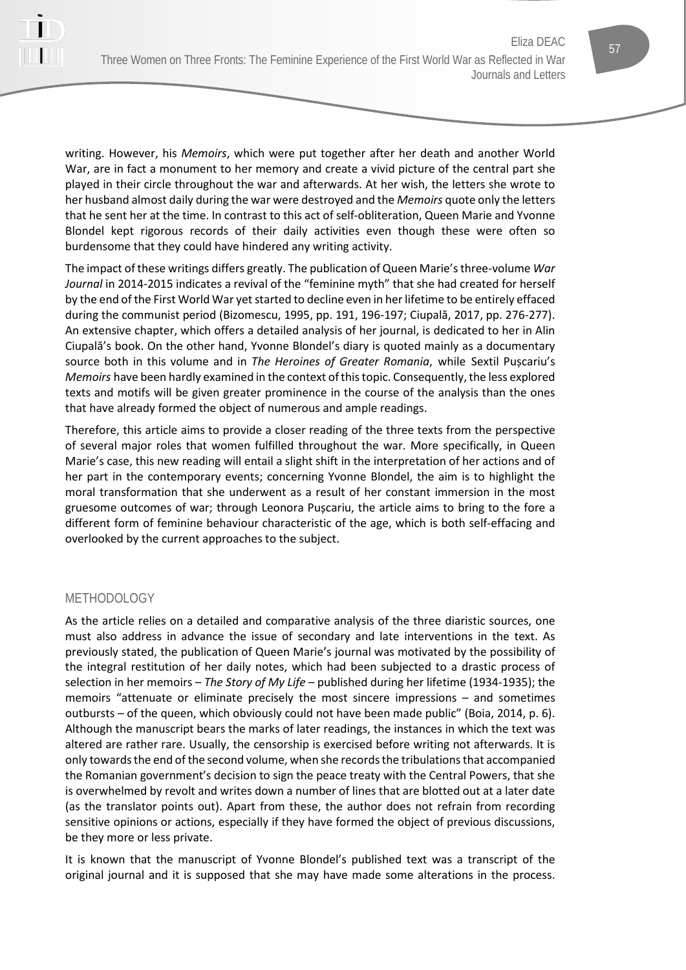

writing. However, his *Memoirs*, which were put together after her death and another World War, are in fact a monument to her memory and create a vivid picture of the central part she played in their circle throughout the war and afterwards. At her wish, the letters she wrote to her husband almost daily during the war were destroyed and the *Memoirs* quote only the letters that he sent her at the time. In contrast to this act of self-obliteration, Queen Marie and Yvonne Blondel kept rigorous records of their daily activities even though these were often so burdensome that they could have hindered any writing activity.

The impact of these writings differs greatly. The publication of Queen Marie's three-volume *War Journal* in 2014-2015 indicates a revival of the "feminine myth" that she had created for herself by the end of the First World War yet started to decline even in her lifetime to be entirely effaced during the communist period (Bizomescu, 1995, pp. 191, 196-197; Ciupală, 2017, pp. 276-277). An extensive chapter, which offers a detailed analysis of her journal, is dedicated to her in Alin Ciupală's book. On the other hand, Yvonne Blondel's diary is quoted mainly as a documentary source both in this volume and in *The Heroines of Greater Romania*, while Sextil Pușcariu's *Memoirs* have been hardly examined in the context of this topic. Consequently, the less explored texts and motifs will be given greater prominence in the course of the analysis than the ones that have already formed the object of numerous and ample readings.

Therefore, this article aims to provide a closer reading of the three texts from the perspective of several major roles that women fulfilled throughout the war. More specifically, in Queen Marie's case, this new reading will entail a slight shift in the interpretation of her actions and of her part in the contemporary events; concerning Yvonne Blondel, the aim is to highlight the moral transformation that she underwent as a result of her constant immersion in the most gruesome outcomes of war; through Leonora Pușcariu, the article aims to bring to the fore a different form of feminine behaviour characteristic of the age, which is both self-effacing and overlooked by the current approaches to the subject.

## METHODOLOGY

As the article relies on a detailed and comparative analysis of the three diaristic sources, one must also address in advance the issue of secondary and late interventions in the text. As previously stated, the publication of Queen Marie's journal was motivated by the possibility of the integral restitution of her daily notes, which had been subjected to a drastic process of selection in her memoirs – *The Story of My Life* – published during her lifetime (1934-1935); the memoirs "attenuate or eliminate precisely the most sincere impressions – and sometimes outbursts – of the queen, which obviously could not have been made public" (Boia, 2014, p. 6). Although the manuscript bears the marks of later readings, the instances in which the text was altered are rather rare. Usually, the censorship is exercised before writing not afterwards. It is only towards the end of the second volume, when she records the tribulations that accompanied the Romanian government's decision to sign the peace treaty with the Central Powers, that she is overwhelmed by revolt and writes down a number of lines that are blotted out at a later date (as the translator points out). Apart from these, the author does not refrain from recording sensitive opinions or actions, especially if they have formed the object of previous discussions, be they more or less private.

It is known that the manuscript of Yvonne Blondel's published text was a transcript of the original journal and it is supposed that she may have made some alterations in the process.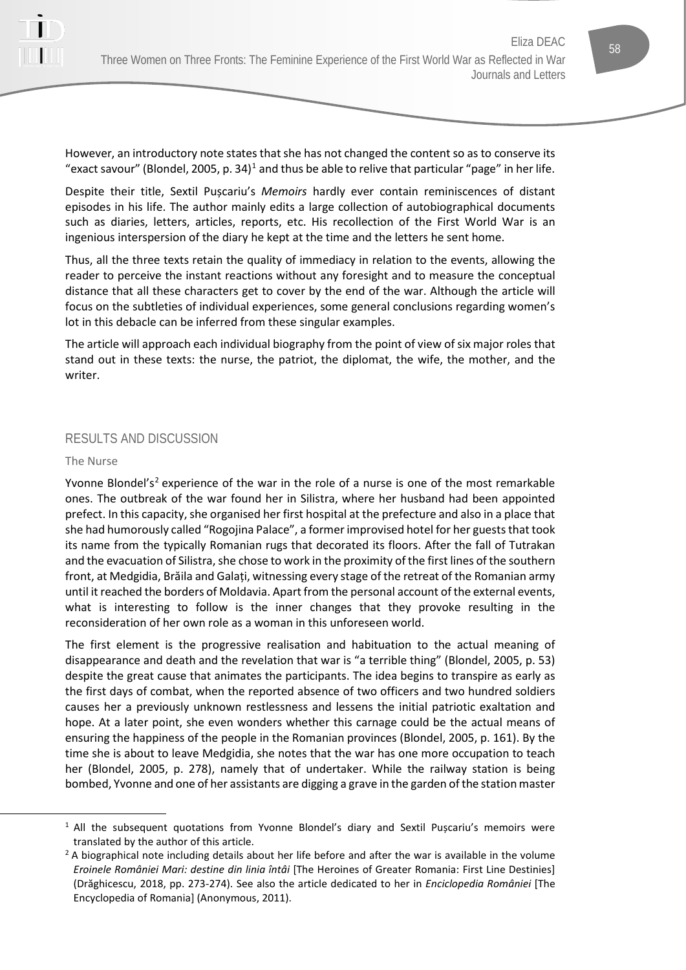However, an introductory note states that she has not changed the content so as to conserve its "exact savour" (Blondel, 2005, p. 34)<sup>[1](#page-3-0)</sup> and thus be able to relive that particular "page" in her life.

Despite their title, Sextil Pușcariu's *Memoirs* hardly ever contain reminiscences of distant episodes in his life. The author mainly edits a large collection of autobiographical documents such as diaries, letters, articles, reports, etc. His recollection of the First World War is an ingenious interspersion of the diary he kept at the time and the letters he sent home.

Thus, all the three texts retain the quality of immediacy in relation to the events, allowing the reader to perceive the instant reactions without any foresight and to measure the conceptual distance that all these characters get to cover by the end of the war. Although the article will focus on the subtleties of individual experiences, some general conclusions regarding women's lot in this debacle can be inferred from these singular examples.

The article will approach each individual biography from the point of view of six major roles that stand out in these texts: the nurse, the patriot, the diplomat, the wife, the mother, and the writer.

# RESULTS AND DISCUSSION

## The Nurse

Yvonne Blondel's<sup>[2](#page-3-1)</sup> experience of the war in the role of a nurse is one of the most remarkable ones. The outbreak of the war found her in Silistra, where her husband had been appointed prefect. In this capacity, she organised her first hospital at the prefecture and also in a place that she had humorously called "Rogojina Palace", a former improvised hotel for her guests that took its name from the typically Romanian rugs that decorated its floors. After the fall of Tutrakan and the evacuation of Silistra, she chose to work in the proximity of the first lines of the southern front, at Medgidia, Brăila and Galați, witnessing every stage of the retreat of the Romanian army until it reached the borders of Moldavia. Apart from the personal account of the external events, what is interesting to follow is the inner changes that they provoke resulting in the reconsideration of her own role as a woman in this unforeseen world.

The first element is the progressive realisation and habituation to the actual meaning of disappearance and death and the revelation that war is "a terrible thing" (Blondel, 2005, p. 53) despite the great cause that animates the participants. The idea begins to transpire as early as the first days of combat, when the reported absence of two officers and two hundred soldiers causes her a previously unknown restlessness and lessens the initial patriotic exaltation and hope. At a later point, she even wonders whether this carnage could be the actual means of ensuring the happiness of the people in the Romanian provinces (Blondel, 2005, p. 161). By the time she is about to leave Medgidia, she notes that the war has one more occupation to teach her (Blondel, 2005, p. 278), namely that of undertaker. While the railway station is being bombed, Yvonne and one of her assistants are digging a grave in the garden of the station master

<span id="page-3-0"></span> $1$  All the subsequent quotations from Yvonne Blondel's diary and Sextil Puscariu's memoirs were translated by the author of this article.

<span id="page-3-1"></span><sup>&</sup>lt;sup>2</sup> A biographical note including details about her life before and after the war is available in the volume *Eroinele României Mari: destine din linia întâi* [The Heroines of Greater Romania: First Line Destinies] (Drăghicescu, 2018, pp. 273-274). See also the article dedicated to her in *Enciclopedia României* [The Encyclopedia of Romania] (Anonymous, 2011).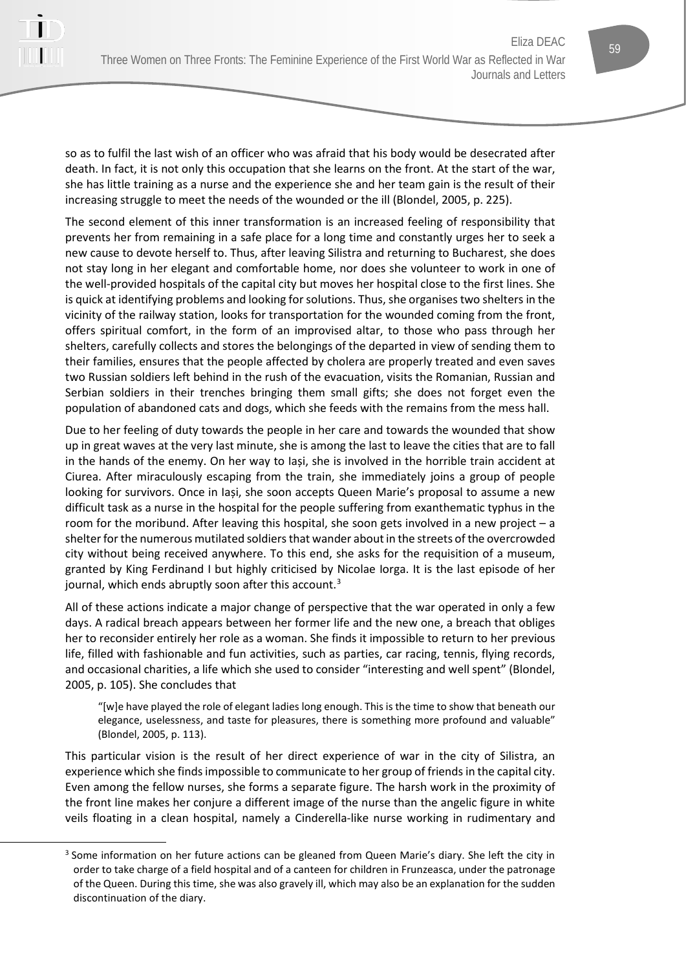so as to fulfil the last wish of an officer who was afraid that his body would be desecrated after death. In fact, it is not only this occupation that she learns on the front. At the start of the war, she has little training as a nurse and the experience she and her team gain is the result of their increasing struggle to meet the needs of the wounded or the ill (Blondel, 2005, p. 225).

The second element of this inner transformation is an increased feeling of responsibility that prevents her from remaining in a safe place for a long time and constantly urges her to seek a new cause to devote herself to. Thus, after leaving Silistra and returning to Bucharest, she does not stay long in her elegant and comfortable home, nor does she volunteer to work in one of the well-provided hospitals of the capital city but moves her hospital close to the first lines. She is quick at identifying problems and looking for solutions. Thus, she organises two shelters in the vicinity of the railway station, looks for transportation for the wounded coming from the front, offers spiritual comfort, in the form of an improvised altar, to those who pass through her shelters, carefully collects and stores the belongings of the departed in view of sending them to their families, ensures that the people affected by cholera are properly treated and even saves two Russian soldiers left behind in the rush of the evacuation, visits the Romanian, Russian and Serbian soldiers in their trenches bringing them small gifts; she does not forget even the population of abandoned cats and dogs, which she feeds with the remains from the mess hall.

Due to her feeling of duty towards the people in her care and towards the wounded that show up in great waves at the very last minute, she is among the last to leave the cities that are to fall in the hands of the enemy. On her way to Iași, she is involved in the horrible train accident at Ciurea. After miraculously escaping from the train, she immediately joins a group of people looking for survivors. Once in Iași, she soon accepts Queen Marie's proposal to assume a new difficult task as a nurse in the hospital for the people suffering from exanthematic typhus in the room for the moribund. After leaving this hospital, she soon gets involved in a new project – a shelter for the numerous mutilated soldiers that wander about in the streets of the overcrowded city without being received anywhere. To this end, she asks for the requisition of a museum, granted by King Ferdinand I but highly criticised by Nicolae Iorga. It is the last episode of her journal, which ends abruptly soon after this account.<sup>[3](#page-4-0)</sup>

All of these actions indicate a major change of perspective that the war operated in only a few days. A radical breach appears between her former life and the new one, a breach that obliges her to reconsider entirely her role as a woman. She finds it impossible to return to her previous life, filled with fashionable and fun activities, such as parties, car racing, tennis, flying records, and occasional charities, a life which she used to consider "interesting and well spent" (Blondel, 2005, p. 105). She concludes that

"[w]e have played the role of elegant ladies long enough. This is the time to show that beneath our elegance, uselessness, and taste for pleasures, there is something more profound and valuable" (Blondel, 2005, p. 113).

This particular vision is the result of her direct experience of war in the city of Silistra, an experience which she finds impossible to communicate to her group of friends in the capital city. Even among the fellow nurses, she forms a separate figure. The harsh work in the proximity of the front line makes her conjure a different image of the nurse than the angelic figure in white veils floating in a clean hospital, namely a Cinderella-like nurse working in rudimentary and

<span id="page-4-0"></span><sup>&</sup>lt;sup>3</sup> Some information on her future actions can be gleaned from Queen Marie's diary. She left the city in order to take charge of a field hospital and of a canteen for children in Frunzeasca, under the patronage of the Queen. During this time, she was also gravely ill, which may also be an explanation for the sudden discontinuation of the diary.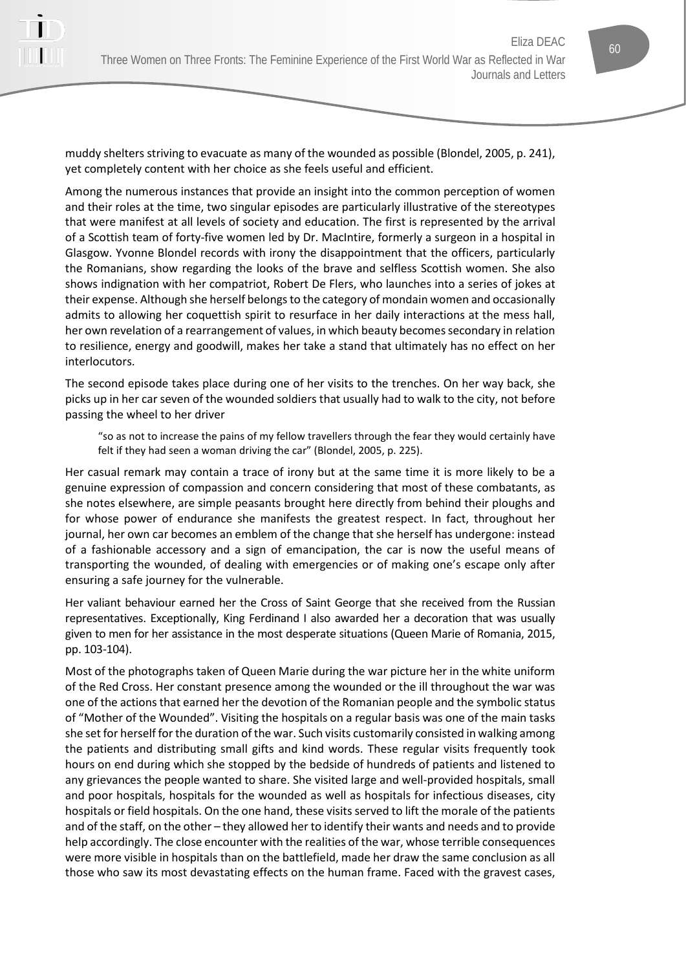muddy shelters striving to evacuate as many of the wounded as possible (Blondel, 2005, p. 241), yet completely content with her choice as she feels useful and efficient.

Among the numerous instances that provide an insight into the common perception of women and their roles at the time, two singular episodes are particularly illustrative of the stereotypes that were manifest at all levels of society and education. The first is represented by the arrival of a Scottish team of forty-five women led by Dr. MacIntire, formerly a surgeon in a hospital in Glasgow. Yvonne Blondel records with irony the disappointment that the officers, particularly the Romanians, show regarding the looks of the brave and selfless Scottish women. She also shows indignation with her compatriot, Robert De Flers, who launches into a series of jokes at their expense. Although she herself belongs to the category of mondain women and occasionally admits to allowing her coquettish spirit to resurface in her daily interactions at the mess hall, her own revelation of a rearrangement of values, in which beauty becomes secondary in relation to resilience, energy and goodwill, makes her take a stand that ultimately has no effect on her interlocutors.

The second episode takes place during one of her visits to the trenches. On her way back, she picks up in her car seven of the wounded soldiers that usually had to walk to the city, not before passing the wheel to her driver

"so as not to increase the pains of my fellow travellers through the fear they would certainly have felt if they had seen a woman driving the car" (Blondel, 2005, p. 225).

Her casual remark may contain a trace of irony but at the same time it is more likely to be a genuine expression of compassion and concern considering that most of these combatants, as she notes elsewhere, are simple peasants brought here directly from behind their ploughs and for whose power of endurance she manifests the greatest respect. In fact, throughout her journal, her own car becomes an emblem of the change that she herself has undergone: instead of a fashionable accessory and a sign of emancipation, the car is now the useful means of transporting the wounded, of dealing with emergencies or of making one's escape only after ensuring a safe journey for the vulnerable.

Her valiant behaviour earned her the Cross of Saint George that she received from the Russian representatives. Exceptionally, King Ferdinand I also awarded her a decoration that was usually given to men for her assistance in the most desperate situations (Queen Marie of Romania, 2015, pp. 103-104).

Most of the photographs taken of Queen Marie during the war picture her in the white uniform of the Red Cross. Her constant presence among the wounded or the ill throughout the war was one of the actions that earned her the devotion of the Romanian people and the symbolic status of "Mother of the Wounded". Visiting the hospitals on a regular basis was one of the main tasks she set for herself for the duration of the war. Such visits customarily consisted in walking among the patients and distributing small gifts and kind words. These regular visits frequently took hours on end during which she stopped by the bedside of hundreds of patients and listened to any grievances the people wanted to share. She visited large and well-provided hospitals, small and poor hospitals, hospitals for the wounded as well as hospitals for infectious diseases, city hospitals or field hospitals. On the one hand, these visits served to lift the morale of the patients and of the staff, on the other – they allowed her to identify their wants and needs and to provide help accordingly. The close encounter with the realities of the war, whose terrible consequences were more visible in hospitals than on the battlefield, made her draw the same conclusion as all those who saw its most devastating effects on the human frame. Faced with the gravest cases,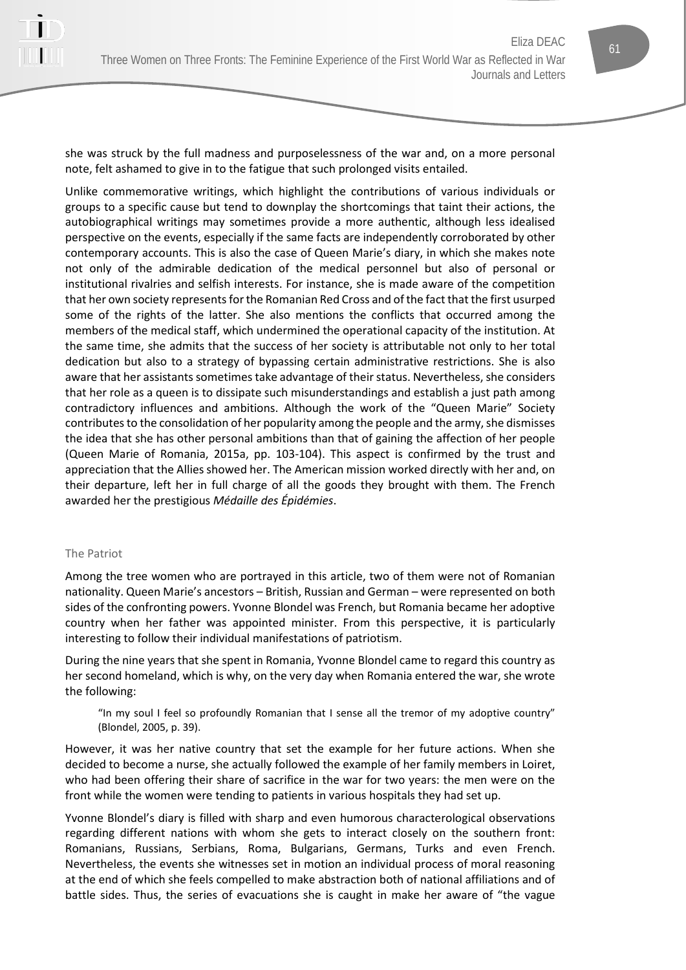she was struck by the full madness and purposelessness of the war and, on a more personal note, felt ashamed to give in to the fatigue that such prolonged visits entailed.

Unlike commemorative writings, which highlight the contributions of various individuals or groups to a specific cause but tend to downplay the shortcomings that taint their actions, the autobiographical writings may sometimes provide a more authentic, although less idealised perspective on the events, especially if the same facts are independently corroborated by other contemporary accounts. This is also the case of Queen Marie's diary, in which she makes note not only of the admirable dedication of the medical personnel but also of personal or institutional rivalries and selfish interests. For instance, she is made aware of the competition that her own society represents for the Romanian Red Cross and of the fact that the first usurped some of the rights of the latter. She also mentions the conflicts that occurred among the members of the medical staff, which undermined the operational capacity of the institution. At the same time, she admits that the success of her society is attributable not only to her total dedication but also to a strategy of bypassing certain administrative restrictions. She is also aware that her assistants sometimes take advantage of their status. Nevertheless, she considers that her role as a queen is to dissipate such misunderstandings and establish a just path among contradictory influences and ambitions. Although the work of the "Queen Marie" Society contributes to the consolidation of her popularity among the people and the army, she dismisses the idea that she has other personal ambitions than that of gaining the affection of her people (Queen Marie of Romania, 2015a, pp. 103-104). This aspect is confirmed by the trust and appreciation that the Allies showed her. The American mission worked directly with her and, on their departure, left her in full charge of all the goods they brought with them. The French awarded her the prestigious *Médaille des Épidémies*.

## The Patriot

Among the tree women who are portrayed in this article, two of them were not of Romanian nationality. Queen Marie's ancestors – British, Russian and German – were represented on both sides of the confronting powers. Yvonne Blondel was French, but Romania became her adoptive country when her father was appointed minister. From this perspective, it is particularly interesting to follow their individual manifestations of patriotism.

During the nine years that she spent in Romania, Yvonne Blondel came to regard this country as her second homeland, which is why, on the very day when Romania entered the war, she wrote the following:

"In my soul I feel so profoundly Romanian that I sense all the tremor of my adoptive country" (Blondel, 2005, p. 39).

However, it was her native country that set the example for her future actions. When she decided to become a nurse, she actually followed the example of her family members in Loiret, who had been offering their share of sacrifice in the war for two years: the men were on the front while the women were tending to patients in various hospitals they had set up.

Yvonne Blondel's diary is filled with sharp and even humorous characterological observations regarding different nations with whom she gets to interact closely on the southern front: Romanians, Russians, Serbians, Roma, Bulgarians, Germans, Turks and even French. Nevertheless, the events she witnesses set in motion an individual process of moral reasoning at the end of which she feels compelled to make abstraction both of national affiliations and of battle sides. Thus, the series of evacuations she is caught in make her aware of "the vague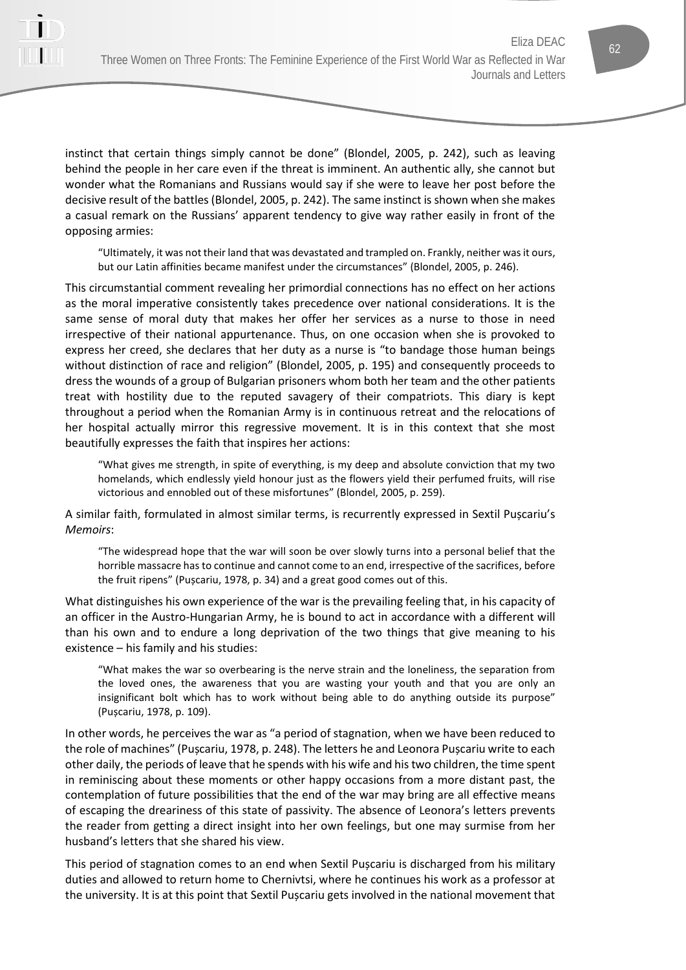

"Ultimately, it was not their land that was devastated and trampled on. Frankly, neither was it ours, but our Latin affinities became manifest under the circumstances" (Blondel, 2005, p. 246).

This circumstantial comment revealing her primordial connections has no effect on her actions as the moral imperative consistently takes precedence over national considerations. It is the same sense of moral duty that makes her offer her services as a nurse to those in need irrespective of their national appurtenance. Thus, on one occasion when she is provoked to express her creed, she declares that her duty as a nurse is "to bandage those human beings without distinction of race and religion" (Blondel, 2005, p. 195) and consequently proceeds to dress the wounds of a group of Bulgarian prisoners whom both her team and the other patients treat with hostility due to the reputed savagery of their compatriots. This diary is kept throughout a period when the Romanian Army is in continuous retreat and the relocations of her hospital actually mirror this regressive movement. It is in this context that she most beautifully expresses the faith that inspires her actions:

"What gives me strength, in spite of everything, is my deep and absolute conviction that my two homelands, which endlessly yield honour just as the flowers yield their perfumed fruits, will rise victorious and ennobled out of these misfortunes" (Blondel, 2005, p. 259).

A similar faith, formulated in almost similar terms, is recurrently expressed in Sextil Pușcariu's *Memoirs*:

"The widespread hope that the war will soon be over slowly turns into a personal belief that the horrible massacre has to continue and cannot come to an end, irrespective of the sacrifices, before the fruit ripens" (Pușcariu, 1978, p. 34) and a great good comes out of this.

What distinguishes his own experience of the war is the prevailing feeling that, in his capacity of an officer in the Austro-Hungarian Army, he is bound to act in accordance with a different will than his own and to endure a long deprivation of the two things that give meaning to his existence – his family and his studies:

"What makes the war so overbearing is the nerve strain and the loneliness, the separation from the loved ones, the awareness that you are wasting your youth and that you are only an insignificant bolt which has to work without being able to do anything outside its purpose" (Pușcariu, 1978, p. 109).

In other words, he perceives the war as "a period of stagnation, when we have been reduced to the role of machines" (Pușcariu, 1978, p. 248). The letters he and Leonora Pușcariu write to each other daily, the periods of leave that he spends with his wife and his two children, the time spent in reminiscing about these moments or other happy occasions from a more distant past, the contemplation of future possibilities that the end of the war may bring are all effective means of escaping the dreariness of this state of passivity. The absence of Leonora's letters prevents the reader from getting a direct insight into her own feelings, but one may surmise from her husband's letters that she shared his view.

This period of stagnation comes to an end when Sextil Pușcariu is discharged from his military duties and allowed to return home to Chernivtsi, where he continues his work as a professor at the university. It is at this point that Sextil Pușcariu gets involved in the national movement that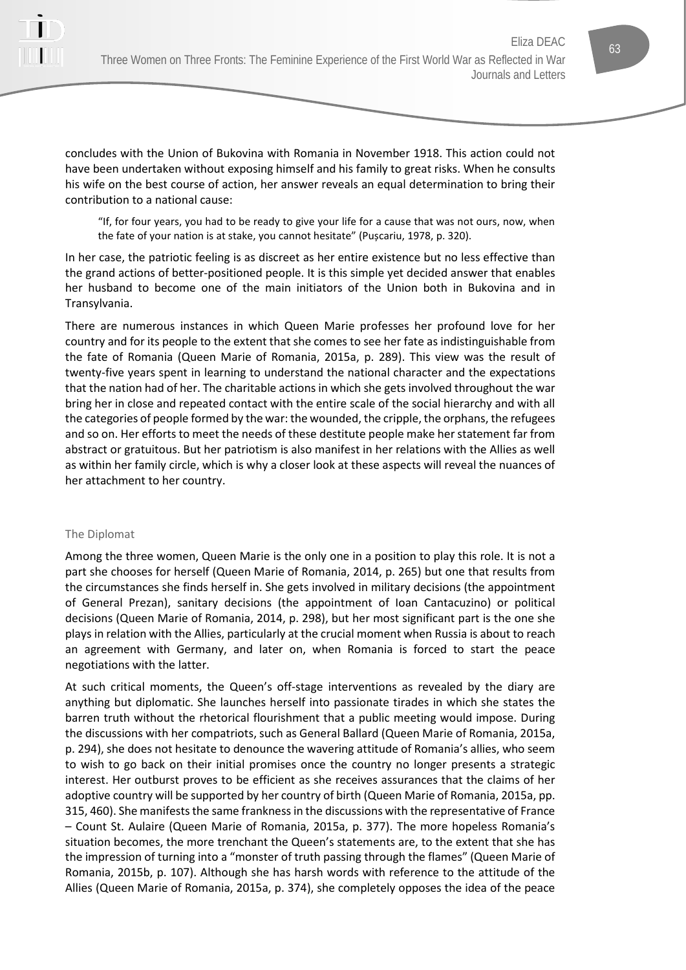

concludes with the Union of Bukovina with Romania in November 1918. This action could not have been undertaken without exposing himself and his family to great risks. When he consults his wife on the best course of action, her answer reveals an equal determination to bring their contribution to a national cause:

"If, for four years, you had to be ready to give your life for a cause that was not ours, now, when the fate of your nation is at stake, you cannot hesitate" (Pușcariu, 1978, p. 320).

In her case, the patriotic feeling is as discreet as her entire existence but no less effective than the grand actions of better-positioned people. It is this simple yet decided answer that enables her husband to become one of the main initiators of the Union both in Bukovina and in Transylvania.

There are numerous instances in which Queen Marie professes her profound love for her country and for its people to the extent that she comes to see her fate as indistinguishable from the fate of Romania (Queen Marie of Romania, 2015a, p. 289). This view was the result of twenty-five years spent in learning to understand the national character and the expectations that the nation had of her. The charitable actions in which she gets involved throughout the war bring her in close and repeated contact with the entire scale of the social hierarchy and with all the categories of people formed by the war: the wounded, the cripple, the orphans, the refugees and so on. Her efforts to meet the needs of these destitute people make her statement far from abstract or gratuitous. But her patriotism is also manifest in her relations with the Allies as well as within her family circle, which is why a closer look at these aspects will reveal the nuances of her attachment to her country.

#### The Diplomat

Among the three women, Queen Marie is the only one in a position to play this role. It is not a part she chooses for herself (Queen Marie of Romania, 2014, p. 265) but one that results from the circumstances she finds herself in. She gets involved in military decisions (the appointment of General Prezan), sanitary decisions (the appointment of Ioan Cantacuzino) or political decisions (Queen Marie of Romania, 2014, p. 298), but her most significant part is the one she plays in relation with the Allies, particularly at the crucial moment when Russia is about to reach an agreement with Germany, and later on, when Romania is forced to start the peace negotiations with the latter.

At such critical moments, the Queen's off-stage interventions as revealed by the diary are anything but diplomatic. She launches herself into passionate tirades in which she states the barren truth without the rhetorical flourishment that a public meeting would impose. During the discussions with her compatriots, such as General Ballard (Queen Marie of Romania, 2015a, p. 294), she does not hesitate to denounce the wavering attitude of Romania's allies, who seem to wish to go back on their initial promises once the country no longer presents a strategic interest. Her outburst proves to be efficient as she receives assurances that the claims of her adoptive country will be supported by her country of birth (Queen Marie of Romania, 2015a, pp. 315, 460). She manifests the same frankness in the discussions with the representative of France – Count St. Aulaire (Queen Marie of Romania, 2015a, p. 377). The more hopeless Romania's situation becomes, the more trenchant the Queen's statements are, to the extent that she has the impression of turning into a "monster of truth passing through the flames" (Queen Marie of Romania, 2015b, p. 107). Although she has harsh words with reference to the attitude of the Allies (Queen Marie of Romania, 2015a, p. 374), she completely opposes the idea of the peace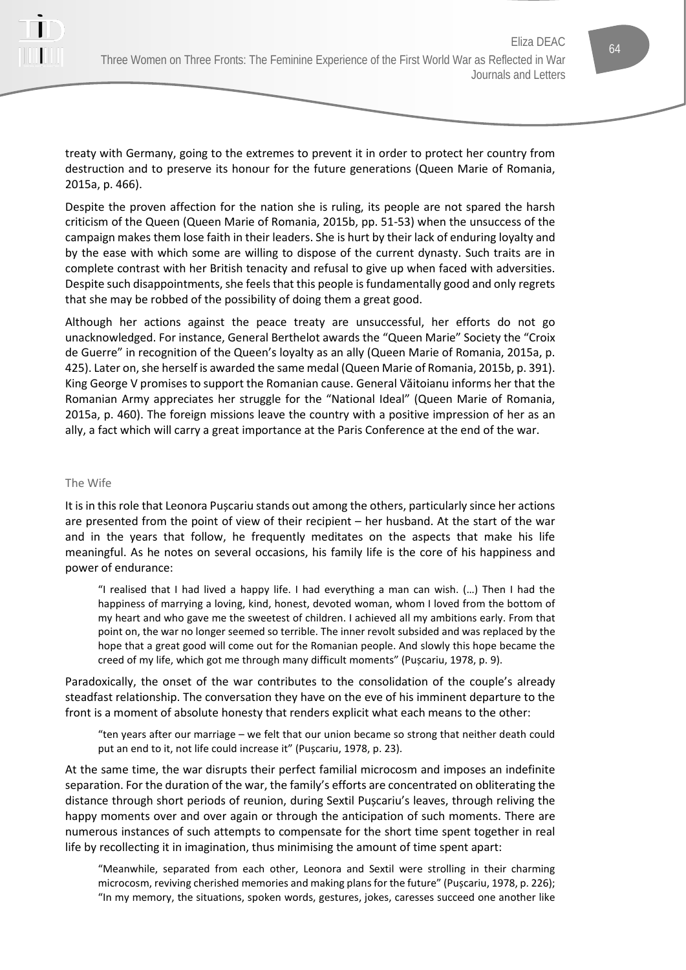

treaty with Germany, going to the extremes to prevent it in order to protect her country from destruction and to preserve its honour for the future generations (Queen Marie of Romania, 2015a, p. 466).

Despite the proven affection for the nation she is ruling, its people are not spared the harsh criticism of the Queen (Queen Marie of Romania, 2015b, pp. 51-53) when the unsuccess of the campaign makes them lose faith in their leaders. She is hurt by their lack of enduring loyalty and by the ease with which some are willing to dispose of the current dynasty. Such traits are in complete contrast with her British tenacity and refusal to give up when faced with adversities. Despite such disappointments, she feels that this people is fundamentally good and only regrets that she may be robbed of the possibility of doing them a great good.

Although her actions against the peace treaty are unsuccessful, her efforts do not go unacknowledged. For instance, General Berthelot awards the "Queen Marie" Society the "Croix de Guerre" in recognition of the Queen's loyalty as an ally (Queen Marie of Romania, 2015a, p. 425). Later on, she herself is awarded the same medal (Queen Marie of Romania, 2015b, p. 391). King George V promises to support the Romanian cause. General Văitoianu informs her that the Romanian Army appreciates her struggle for the "National Ideal" (Queen Marie of Romania, 2015a, p. 460). The foreign missions leave the country with a positive impression of her as an ally, a fact which will carry a great importance at the Paris Conference at the end of the war.

#### The Wife

It is in this role that Leonora Pușcariu stands out among the others, particularly since her actions are presented from the point of view of their recipient – her husband. At the start of the war and in the years that follow, he frequently meditates on the aspects that make his life meaningful. As he notes on several occasions, his family life is the core of his happiness and power of endurance:

"I realised that I had lived a happy life. I had everything a man can wish. (…) Then I had the happiness of marrying a loving, kind, honest, devoted woman, whom I loved from the bottom of my heart and who gave me the sweetest of children. I achieved all my ambitions early. From that point on, the war no longer seemed so terrible. The inner revolt subsided and was replaced by the hope that a great good will come out for the Romanian people. And slowly this hope became the creed of my life, which got me through many difficult moments" (Pușcariu, 1978, p. 9).

Paradoxically, the onset of the war contributes to the consolidation of the couple's already steadfast relationship. The conversation they have on the eve of his imminent departure to the front is a moment of absolute honesty that renders explicit what each means to the other:

"ten years after our marriage – we felt that our union became so strong that neither death could put an end to it, not life could increase it" (Pușcariu, 1978, p. 23).

At the same time, the war disrupts their perfect familial microcosm and imposes an indefinite separation. For the duration of the war, the family's efforts are concentrated on obliterating the distance through short periods of reunion, during Sextil Pușcariu's leaves, through reliving the happy moments over and over again or through the anticipation of such moments. There are numerous instances of such attempts to compensate for the short time spent together in real life by recollecting it in imagination, thus minimising the amount of time spent apart:

"Meanwhile, separated from each other, Leonora and Sextil were strolling in their charming microcosm, reviving cherished memories and making plans for the future" (Pușcariu, 1978, p. 226); "In my memory, the situations, spoken words, gestures, jokes, caresses succeed one another like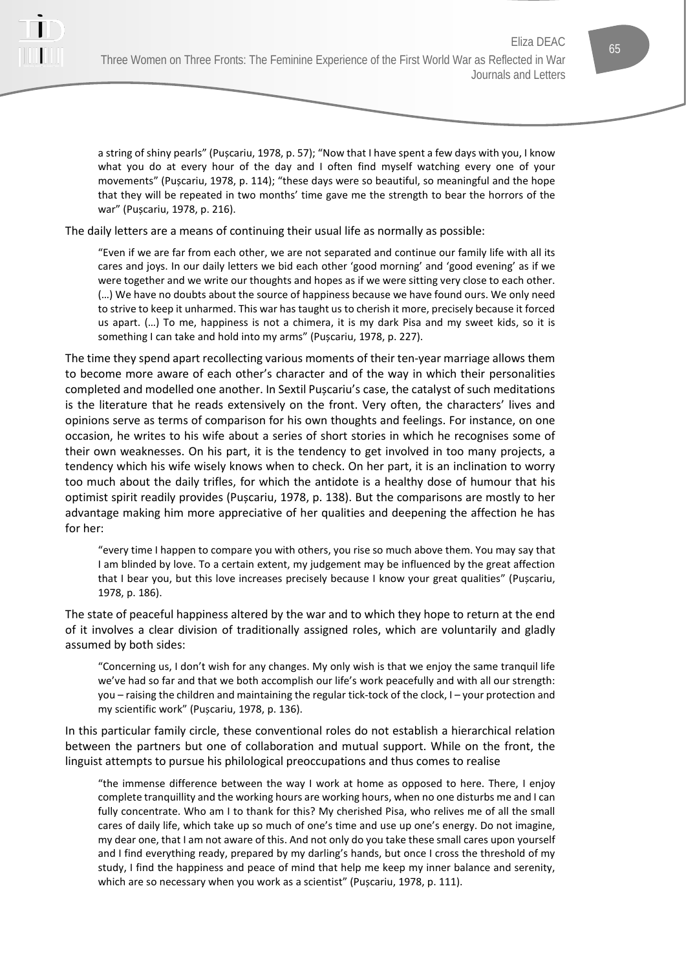

a string of shiny pearls" (Pușcariu, 1978, p. 57); "Now that I have spent a few days with you, I know what you do at every hour of the day and I often find myself watching every one of your movements" (Pușcariu, 1978, p. 114); "these days were so beautiful, so meaningful and the hope that they will be repeated in two months' time gave me the strength to bear the horrors of the war" (Pușcariu, 1978, p. 216).

The daily letters are a means of continuing their usual life as normally as possible:

"Even if we are far from each other, we are not separated and continue our family life with all its cares and joys. In our daily letters we bid each other 'good morning' and 'good evening' as if we were together and we write our thoughts and hopes as if we were sitting very close to each other. (…) We have no doubts about the source of happiness because we have found ours. We only need to strive to keep it unharmed. This war has taught us to cherish it more, precisely because it forced us apart. (…) To me, happiness is not a chimera, it is my dark Pisa and my sweet kids, so it is something I can take and hold into my arms" (Pușcariu, 1978, p. 227).

The time they spend apart recollecting various moments of their ten-year marriage allows them to become more aware of each other's character and of the way in which their personalities completed and modelled one another. In Sextil Pușcariu's case, the catalyst of such meditations is the literature that he reads extensively on the front. Very often, the characters' lives and opinions serve as terms of comparison for his own thoughts and feelings. For instance, on one occasion, he writes to his wife about a series of short stories in which he recognises some of their own weaknesses. On his part, it is the tendency to get involved in too many projects, a tendency which his wife wisely knows when to check. On her part, it is an inclination to worry too much about the daily trifles, for which the antidote is a healthy dose of humour that his optimist spirit readily provides (Pușcariu, 1978, p. 138). But the comparisons are mostly to her advantage making him more appreciative of her qualities and deepening the affection he has for her:

"every time I happen to compare you with others, you rise so much above them. You may say that I am blinded by love. To a certain extent, my judgement may be influenced by the great affection that I bear you, but this love increases precisely because I know your great qualities" (Pușcariu, 1978, p. 186).

The state of peaceful happiness altered by the war and to which they hope to return at the end of it involves a clear division of traditionally assigned roles, which are voluntarily and gladly assumed by both sides:

"Concerning us, I don't wish for any changes. My only wish is that we enjoy the same tranquil life we've had so far and that we both accomplish our life's work peacefully and with all our strength: you – raising the children and maintaining the regular tick-tock of the clock, I – your protection and my scientific work" (Pușcariu, 1978, p. 136).

In this particular family circle, these conventional roles do not establish a hierarchical relation between the partners but one of collaboration and mutual support. While on the front, the linguist attempts to pursue his philological preoccupations and thus comes to realise

"the immense difference between the way I work at home as opposed to here. There, I enjoy complete tranquillity and the working hours are working hours, when no one disturbs me and I can fully concentrate. Who am I to thank for this? My cherished Pisa, who relives me of all the small cares of daily life, which take up so much of one's time and use up one's energy. Do not imagine, my dear one, that I am not aware of this. And not only do you take these small cares upon yourself and I find everything ready, prepared by my darling's hands, but once I cross the threshold of my study, I find the happiness and peace of mind that help me keep my inner balance and serenity, which are so necessary when you work as a scientist" (Pușcariu, 1978, p. 111).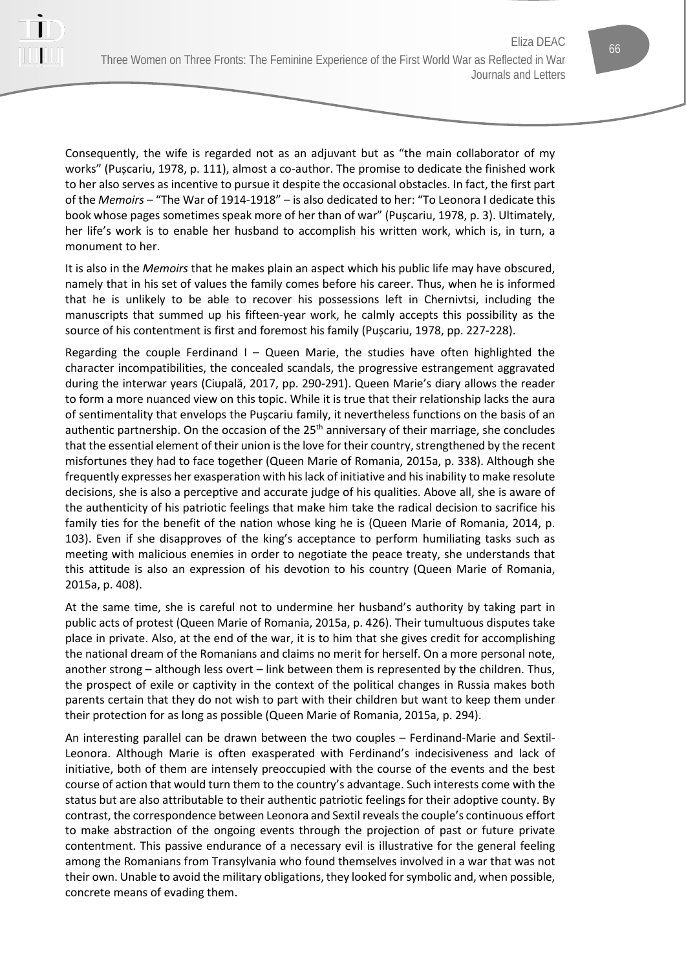Consequently, the wife is regarded not as an adjuvant but as "the main collaborator of my works" (Pușcariu, 1978, p. 111), almost a co-author. The promise to dedicate the finished work to her also serves as incentive to pursue it despite the occasional obstacles. In fact, the first part of the *Memoirs* – "The War of 1914-1918" – is also dedicated to her: "To Leonora I dedicate this book whose pages sometimes speak more of her than of war" (Pușcariu, 1978, p. 3). Ultimately, her life's work is to enable her husband to accomplish his written work, which is, in turn, a monument to her.

It is also in the *Memoirs* that he makes plain an aspect which his public life may have obscured, namely that in his set of values the family comes before his career. Thus, when he is informed that he is unlikely to be able to recover his possessions left in Chernivtsi, including the manuscripts that summed up his fifteen-year work, he calmly accepts this possibility as the source of his contentment is first and foremost his family (Pușcariu, 1978, pp. 227-228).

Regarding the couple Ferdinand I – Queen Marie, the studies have often highlighted the character incompatibilities, the concealed scandals, the progressive estrangement aggravated during the interwar years (Ciupală, 2017, pp. 290-291). Queen Marie's diary allows the reader to form a more nuanced view on this topic. While it is true that their relationship lacks the aura of sentimentality that envelops the Pușcariu family, it nevertheless functions on the basis of an authentic partnership. On the occasion of the  $25<sup>th</sup>$  anniversary of their marriage, she concludes that the essential element of their union is the love for their country, strengthened by the recent misfortunes they had to face together (Queen Marie of Romania, 2015a, p. 338). Although she frequently expresses her exasperation with his lack of initiative and his inability to make resolute decisions, she is also a perceptive and accurate judge of his qualities. Above all, she is aware of the authenticity of his patriotic feelings that make him take the radical decision to sacrifice his family ties for the benefit of the nation whose king he is (Queen Marie of Romania, 2014, p. 103). Even if she disapproves of the king's acceptance to perform humiliating tasks such as meeting with malicious enemies in order to negotiate the peace treaty, she understands that this attitude is also an expression of his devotion to his country (Queen Marie of Romania, 2015a, p. 408).

At the same time, she is careful not to undermine her husband's authority by taking part in public acts of protest (Queen Marie of Romania, 2015a, p. 426). Their tumultuous disputes take place in private. Also, at the end of the war, it is to him that she gives credit for accomplishing the national dream of the Romanians and claims no merit for herself. On a more personal note, another strong – although less overt – link between them is represented by the children. Thus, the prospect of exile or captivity in the context of the political changes in Russia makes both parents certain that they do not wish to part with their children but want to keep them under their protection for as long as possible (Queen Marie of Romania, 2015a, p. 294).

An interesting parallel can be drawn between the two couples – Ferdinand-Marie and Sextil-Leonora. Although Marie is often exasperated with Ferdinand's indecisiveness and lack of initiative, both of them are intensely preoccupied with the course of the events and the best course of action that would turn them to the country's advantage. Such interests come with the status but are also attributable to their authentic patriotic feelings for their adoptive county. By contrast, the correspondence between Leonora and Sextil reveals the couple's continuous effort to make abstraction of the ongoing events through the projection of past or future private contentment. This passive endurance of a necessary evil is illustrative for the general feeling among the Romanians from Transylvania who found themselves involved in a war that was not their own. Unable to avoid the military obligations, they looked for symbolic and, when possible, concrete means of evading them.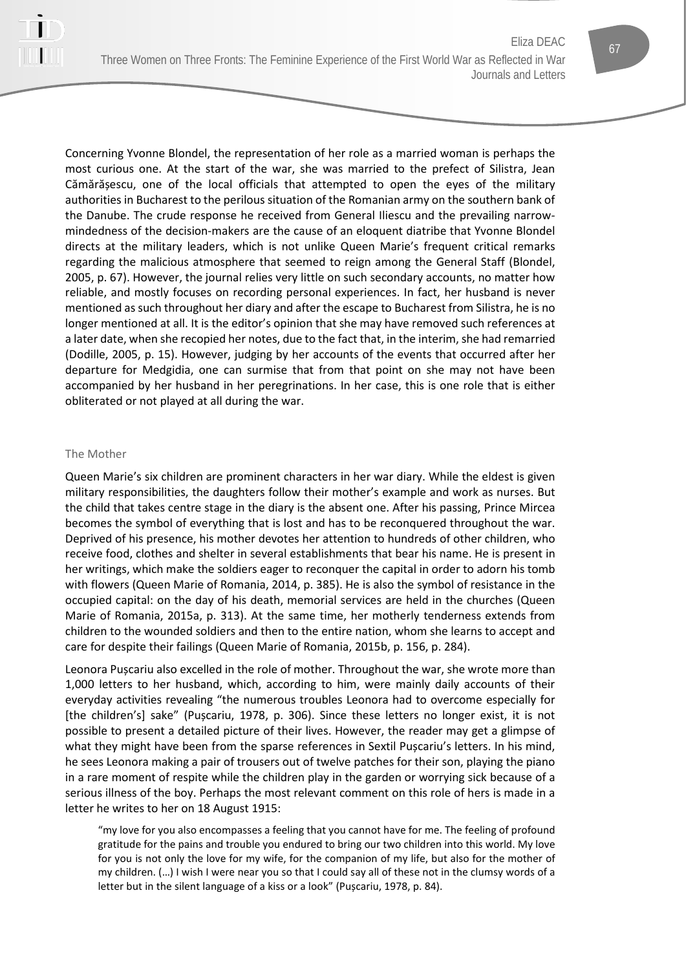

#### The Mother

Queen Marie's six children are prominent characters in her war diary. While the eldest is given military responsibilities, the daughters follow their mother's example and work as nurses. But the child that takes centre stage in the diary is the absent one. After his passing, Prince Mircea becomes the symbol of everything that is lost and has to be reconquered throughout the war. Deprived of his presence, his mother devotes her attention to hundreds of other children, who receive food, clothes and shelter in several establishments that bear his name. He is present in her writings, which make the soldiers eager to reconquer the capital in order to adorn his tomb with flowers (Queen Marie of Romania, 2014, p. 385). He is also the symbol of resistance in the occupied capital: on the day of his death, memorial services are held in the churches (Queen Marie of Romania, 2015a, p. 313). At the same time, her motherly tenderness extends from children to the wounded soldiers and then to the entire nation, whom she learns to accept and care for despite their failings (Queen Marie of Romania, 2015b, p. 156, p. 284).

Leonora Pușcariu also excelled in the role of mother. Throughout the war, she wrote more than 1,000 letters to her husband, which, according to him, were mainly daily accounts of their everyday activities revealing "the numerous troubles Leonora had to overcome especially for [the children's] sake" (Pușcariu, 1978, p. 306). Since these letters no longer exist, it is not possible to present a detailed picture of their lives. However, the reader may get a glimpse of what they might have been from the sparse references in Sextil Pușcariu's letters. In his mind, he sees Leonora making a pair of trousers out of twelve patches for their son, playing the piano in a rare moment of respite while the children play in the garden or worrying sick because of a serious illness of the boy. Perhaps the most relevant comment on this role of hers is made in a letter he writes to her on 18 August 1915:

"my love for you also encompasses a feeling that you cannot have for me. The feeling of profound gratitude for the pains and trouble you endured to bring our two children into this world. My love for you is not only the love for my wife, for the companion of my life, but also for the mother of my children. (…) I wish I were near you so that I could say all of these not in the clumsy words of a letter but in the silent language of a kiss or a look" (Pușcariu, 1978, p. 84).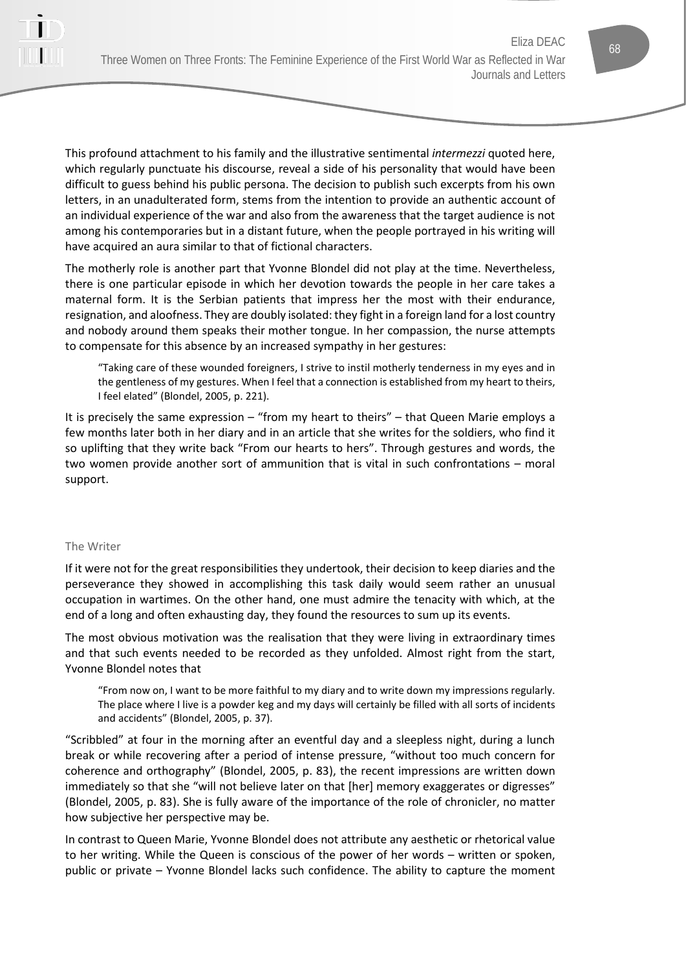This profound attachment to his family and the illustrative sentimental *intermezzi* quoted here, which regularly punctuate his discourse, reveal a side of his personality that would have been difficult to guess behind his public persona. The decision to publish such excerpts from his own letters, in an unadulterated form, stems from the intention to provide an authentic account of an individual experience of the war and also from the awareness that the target audience is not among his contemporaries but in a distant future, when the people portrayed in his writing will have acquired an aura similar to that of fictional characters.

The motherly role is another part that Yvonne Blondel did not play at the time. Nevertheless, there is one particular episode in which her devotion towards the people in her care takes a maternal form. It is the Serbian patients that impress her the most with their endurance, resignation, and aloofness. They are doubly isolated: they fight in a foreign land for a lost country and nobody around them speaks their mother tongue. In her compassion, the nurse attempts to compensate for this absence by an increased sympathy in her gestures:

"Taking care of these wounded foreigners, I strive to instil motherly tenderness in my eyes and in the gentleness of my gestures. When I feel that a connection is established from my heart to theirs, I feel elated" (Blondel, 2005, p. 221).

It is precisely the same expression – "from my heart to theirs" – that Queen Marie employs a few months later both in her diary and in an article that she writes for the soldiers, who find it so uplifting that they write back "From our hearts to hers". Through gestures and words, the two women provide another sort of ammunition that is vital in such confrontations – moral support.

## The Writer

If it were not for the great responsibilities they undertook, their decision to keep diaries and the perseverance they showed in accomplishing this task daily would seem rather an unusual occupation in wartimes. On the other hand, one must admire the tenacity with which, at the end of a long and often exhausting day, they found the resources to sum up its events.

The most obvious motivation was the realisation that they were living in extraordinary times and that such events needed to be recorded as they unfolded. Almost right from the start, Yvonne Blondel notes that

"From now on, I want to be more faithful to my diary and to write down my impressions regularly. The place where I live is a powder keg and my days will certainly be filled with all sorts of incidents and accidents" (Blondel, 2005, p. 37).

"Scribbled" at four in the morning after an eventful day and a sleepless night, during a lunch break or while recovering after a period of intense pressure, "without too much concern for coherence and orthography" (Blondel, 2005, p. 83), the recent impressions are written down immediately so that she "will not believe later on that [her] memory exaggerates or digresses" (Blondel, 2005, p. 83). She is fully aware of the importance of the role of chronicler, no matter how subjective her perspective may be.

In contrast to Queen Marie, Yvonne Blondel does not attribute any aesthetic or rhetorical value to her writing. While the Queen is conscious of the power of her words – written or spoken, public or private – Yvonne Blondel lacks such confidence. The ability to capture the moment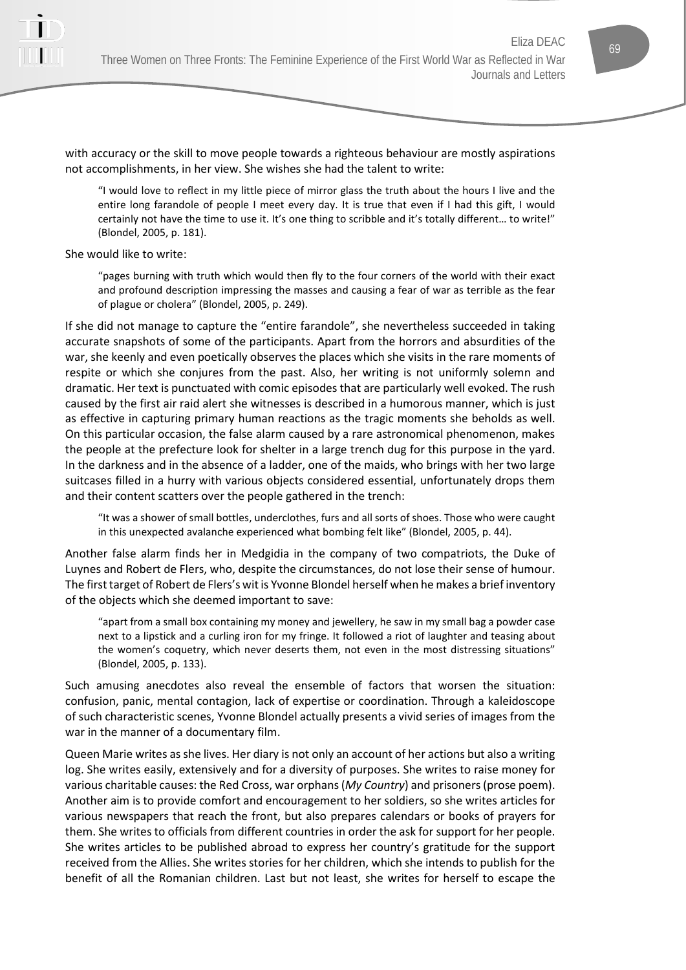

with accuracy or the skill to move people towards a righteous behaviour are mostly aspirations not accomplishments, in her view. She wishes she had the talent to write:

"I would love to reflect in my little piece of mirror glass the truth about the hours I live and the entire long farandole of people I meet every day. It is true that even if I had this gift, I would certainly not have the time to use it. It's one thing to scribble and it's totally different… to write!" (Blondel, 2005, p. 181).

She would like to write:

"pages burning with truth which would then fly to the four corners of the world with their exact and profound description impressing the masses and causing a fear of war as terrible as the fear of plague or cholera" (Blondel, 2005, p. 249).

If she did not manage to capture the "entire farandole", she nevertheless succeeded in taking accurate snapshots of some of the participants. Apart from the horrors and absurdities of the war, she keenly and even poetically observes the places which she visits in the rare moments of respite or which she conjures from the past. Also, her writing is not uniformly solemn and dramatic. Her text is punctuated with comic episodes that are particularly well evoked. The rush caused by the first air raid alert she witnesses is described in a humorous manner, which is just as effective in capturing primary human reactions as the tragic moments she beholds as well. On this particular occasion, the false alarm caused by a rare astronomical phenomenon, makes the people at the prefecture look for shelter in a large trench dug for this purpose in the yard. In the darkness and in the absence of a ladder, one of the maids, who brings with her two large suitcases filled in a hurry with various objects considered essential, unfortunately drops them and their content scatters over the people gathered in the trench:

"It was a shower of small bottles, underclothes, furs and all sorts of shoes. Those who were caught in this unexpected avalanche experienced what bombing felt like" (Blondel, 2005, p. 44).

Another false alarm finds her in Medgidia in the company of two compatriots, the Duke of Luynes and Robert de Flers, who, despite the circumstances, do not lose their sense of humour. The first target of Robert de Flers's wit is Yvonne Blondel herself when he makes a brief inventory of the objects which she deemed important to save:

"apart from a small box containing my money and jewellery, he saw in my small bag a powder case next to a lipstick and a curling iron for my fringe. It followed a riot of laughter and teasing about the women's coquetry, which never deserts them, not even in the most distressing situations" (Blondel, 2005, p. 133).

Such amusing anecdotes also reveal the ensemble of factors that worsen the situation: confusion, panic, mental contagion, lack of expertise or coordination. Through a kaleidoscope of such characteristic scenes, Yvonne Blondel actually presents a vivid series of images from the war in the manner of a documentary film.

Queen Marie writes as she lives. Her diary is not only an account of her actions but also a writing log. She writes easily, extensively and for a diversity of purposes. She writes to raise money for various charitable causes: the Red Cross, war orphans (*My Country*) and prisoners (prose poem). Another aim is to provide comfort and encouragement to her soldiers, so she writes articles for various newspapers that reach the front, but also prepares calendars or books of prayers for them. She writes to officials from different countries in order the ask for support for her people. She writes articles to be published abroad to express her country's gratitude for the support received from the Allies. She writes stories for her children, which she intends to publish for the benefit of all the Romanian children. Last but not least, she writes for herself to escape the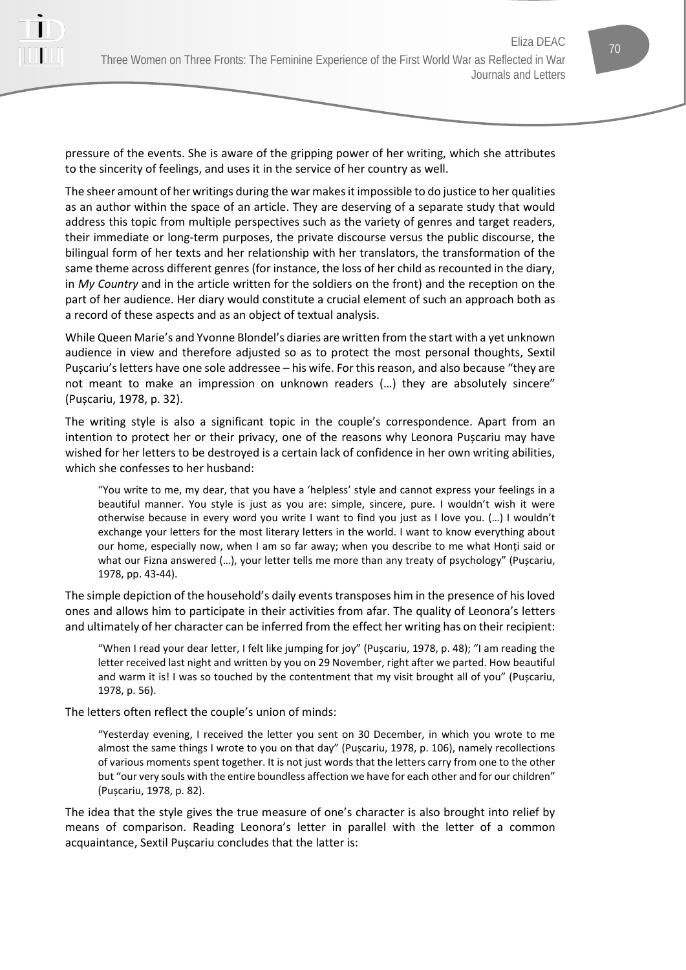pressure of the events. She is aware of the gripping power of her writing, which she attributes to the sincerity of feelings, and uses it in the service of her country as well.

The sheer amount of her writings during the war makes it impossible to do justice to her qualities as an author within the space of an article. They are deserving of a separate study that would address this topic from multiple perspectives such as the variety of genres and target readers, their immediate or long-term purposes, the private discourse versus the public discourse, the bilingual form of her texts and her relationship with her translators, the transformation of the same theme across different genres (for instance, the loss of her child as recounted in the diary, in *My Country* and in the article written for the soldiers on the front) and the reception on the part of her audience. Her diary would constitute a crucial element of such an approach both as a record of these aspects and as an object of textual analysis.

While Queen Marie's and Yvonne Blondel's diaries are written from the start with a yet unknown audience in view and therefore adjusted so as to protect the most personal thoughts, Sextil Pușcariu's letters have one sole addressee – his wife. For this reason, and also because "they are not meant to make an impression on unknown readers (…) they are absolutely sincere" (Pușcariu, 1978, p. 32).

The writing style is also a significant topic in the couple's correspondence. Apart from an intention to protect her or their privacy, one of the reasons why Leonora Pușcariu may have wished for her letters to be destroyed is a certain lack of confidence in her own writing abilities, which she confesses to her husband:

"You write to me, my dear, that you have a 'helpless' style and cannot express your feelings in a beautiful manner. You style is just as you are: simple, sincere, pure. I wouldn't wish it were otherwise because in every word you write I want to find you just as I love you. (…) I wouldn't exchange your letters for the most literary letters in the world. I want to know everything about our home, especially now, when I am so far away; when you describe to me what Honți said or what our Fizna answered (…), your letter tells me more than any treaty of psychology" (Pușcariu, 1978, pp. 43-44).

The simple depiction of the household's daily events transposes him in the presence of his loved ones and allows him to participate in their activities from afar. The quality of Leonora's letters and ultimately of her character can be inferred from the effect her writing has on their recipient:

"When I read your dear letter, I felt like jumping for joy" (Pușcariu, 1978, p. 48); "I am reading the letter received last night and written by you on 29 November, right after we parted. How beautiful and warm it is! I was so touched by the contentment that my visit brought all of you" (Pușcariu, 1978, p. 56).

The letters often reflect the couple's union of minds:

"Yesterday evening, I received the letter you sent on 30 December, in which you wrote to me almost the same things I wrote to you on that day" (Pușcariu, 1978, p. 106), namely recollections of various moments spent together. It is not just words that the letters carry from one to the other but "our very souls with the entire boundless affection we have for each other and for our children" (Pușcariu, 1978, p. 82).

The idea that the style gives the true measure of one's character is also brought into relief by means of comparison. Reading Leonora's letter in parallel with the letter of a common acquaintance, Sextil Pușcariu concludes that the latter is: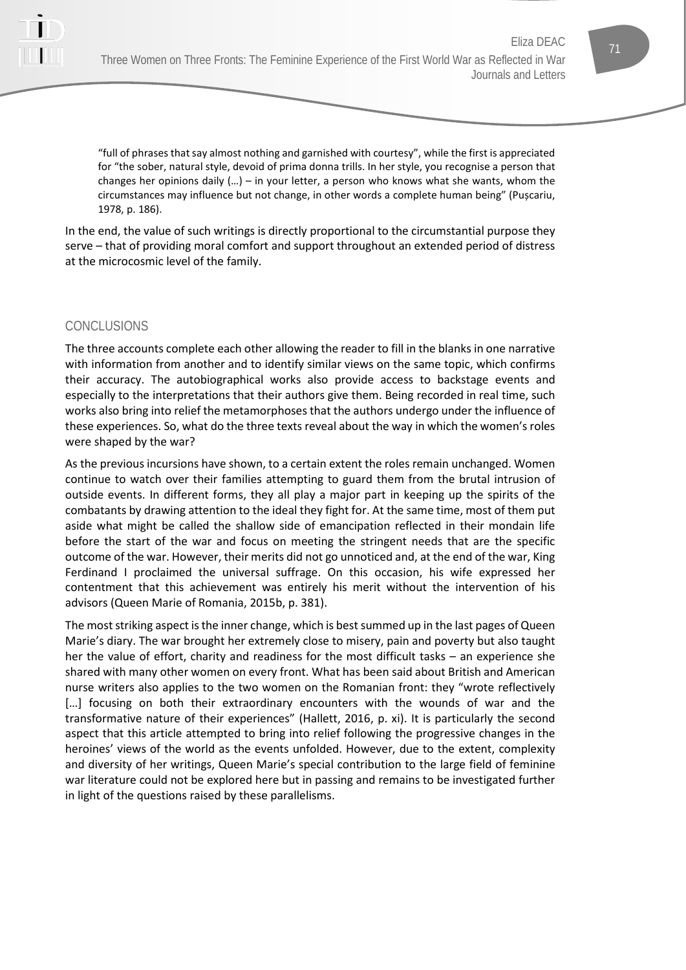

"full of phrases that say almost nothing and garnished with courtesy", while the first is appreciated for "the sober, natural style, devoid of prima donna trills. In her style, you recognise a person that changes her opinions daily (…) – in your letter, a person who knows what she wants, whom the circumstances may influence but not change, in other words a complete human being" (Pușcariu, 1978, p. 186).

In the end, the value of such writings is directly proportional to the circumstantial purpose they serve – that of providing moral comfort and support throughout an extended period of distress at the microcosmic level of the family.

# CONCLUSIONS

The three accounts complete each other allowing the reader to fill in the blanks in one narrative with information from another and to identify similar views on the same topic, which confirms their accuracy. The autobiographical works also provide access to backstage events and especially to the interpretations that their authors give them. Being recorded in real time, such works also bring into relief the metamorphoses that the authors undergo under the influence of these experiences. So, what do the three texts reveal about the way in which the women's roles were shaped by the war?

As the previous incursions have shown, to a certain extent the roles remain unchanged. Women continue to watch over their families attempting to guard them from the brutal intrusion of outside events. In different forms, they all play a major part in keeping up the spirits of the combatants by drawing attention to the ideal they fight for. At the same time, most of them put aside what might be called the shallow side of emancipation reflected in their mondain life before the start of the war and focus on meeting the stringent needs that are the specific outcome of the war. However, their merits did not go unnoticed and, at the end of the war, King Ferdinand I proclaimed the universal suffrage. On this occasion, his wife expressed her contentment that this achievement was entirely his merit without the intervention of his advisors (Queen Marie of Romania, 2015b, p. 381).

The most striking aspect is the inner change, which is best summed up in the last pages of Queen Marie's diary. The war brought her extremely close to misery, pain and poverty but also taught her the value of effort, charity and readiness for the most difficult tasks – an experience she shared with many other women on every front. What has been said about British and American nurse writers also applies to the two women on the Romanian front: they "wrote reflectively [...] focusing on both their extraordinary encounters with the wounds of war and the transformative nature of their experiences" (Hallett, 2016, p. xi). It is particularly the second aspect that this article attempted to bring into relief following the progressive changes in the heroines' views of the world as the events unfolded. However, due to the extent, complexity and diversity of her writings, Queen Marie's special contribution to the large field of feminine war literature could not be explored here but in passing and remains to be investigated further in light of the questions raised by these parallelisms.